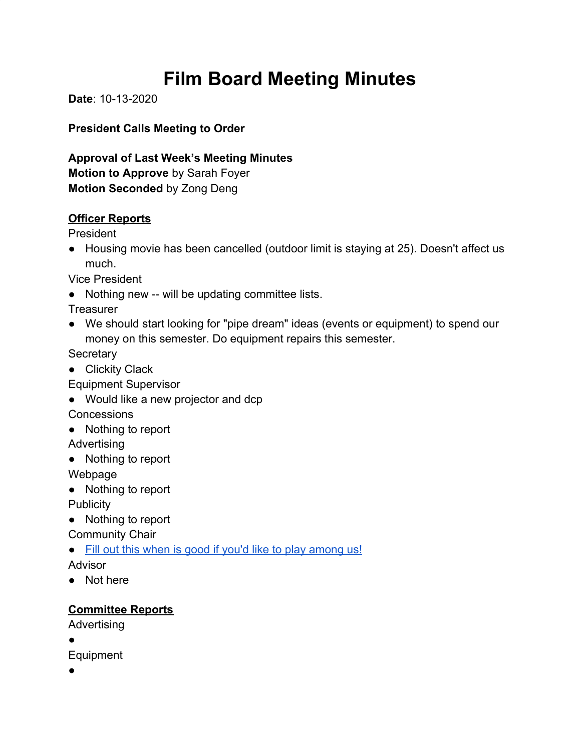# **Film Board Meeting Minutes**

**Date**: 10-13-2020

**President Calls Meeting to Order**

**Approval of Last Week's Meeting Minutes Motion to Approve** by Sarah Foyer **Motion Seconded** by Zong Deng

#### **Officer Reports**

President

● Housing movie has been cancelled (outdoor limit is staying at 25). Doesn't affect us much.

Vice President

● Nothing new -- will be updating committee lists.

**Treasurer** 

● We should start looking for "pipe dream" ideas (events or equipment) to spend our money on this semester. Do equipment repairs this semester.

**Secretary** 

● Clickity Clack

Equipment Supervisor

- Would like a new projector and dcp **Concessions**
- Nothing to report

Advertising

● Nothing to report

Webpage

● Nothing to report

**Publicity** 

● Nothing to report

Community Chair

• [Fill out this when is good if you'd like to play among us!](https://whenisgood.net/igfgb8a)

Advisor

● Not here

### **Committee Reports**

Advertising

●

Equipment

●